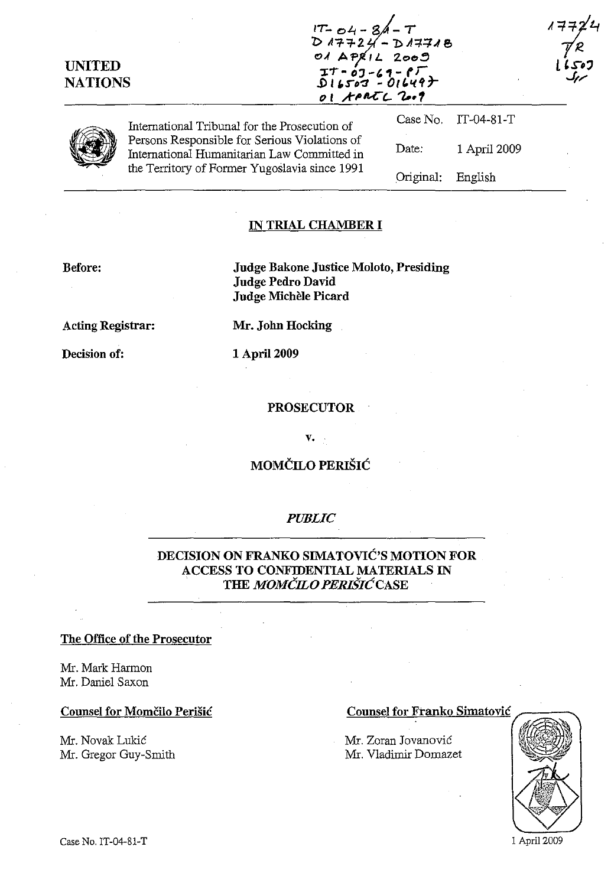| <b>UNITED</b><br><b>NATIONS</b> |                                                                                                                                                                                                | IT-04-8Á-T<br>D 17724-D 17718<br>01 APRIL 2009<br>$I^T - 03 - 69 - 67$<br>D16503 - 01649}<br>OI APATL 2009 |              | 507 کی یا<br>مردگ |
|---------------------------------|------------------------------------------------------------------------------------------------------------------------------------------------------------------------------------------------|------------------------------------------------------------------------------------------------------------|--------------|-------------------|
|                                 | International Tribunal for the Prosecution of<br>Persons Responsible for Serious Violations of<br>International Humanitarian Law Committed in<br>the Territory of Former Yugoslavia since 1991 | Case No.                                                                                                   | $IT-04-81-T$ |                   |
|                                 |                                                                                                                                                                                                | Date:                                                                                                      | 1 April 2009 |                   |
|                                 |                                                                                                                                                                                                | Original:                                                                                                  | English      |                   |

## **IN TRIAL CHAMBER I**

### **Before:**

**Judge Bakone Justice Moloto, Presiding Judge Pedro David Judge Michele Picard** 

**Acting Registrar:** 

**Decision of:** 

**Mr. John Hocking** 

**1** April 2009

#### **PROSECUTOR**

v.

# **MOMČILO PERIŠIĆ**

## *PUBLIC*

## **DECISION ON FRANKO SIMATOVIC'S MOTION FOR ACCESS TO CONFIDENTIAL MATERIALS IN THE** *MOMCILO PERISICCASE*

#### **The Office of the Prosecutor**

Mr. Mark Harmon Mr. Daniel Saxon

Mr. Novak Lukic Mr. Gregor Guy-Smith

#### **Counsel for Momčilo Perišić Counsel for Franko Simatović**

Mr. Zoran Jovanovic Mr. Vladimir Domazet



1 April 2009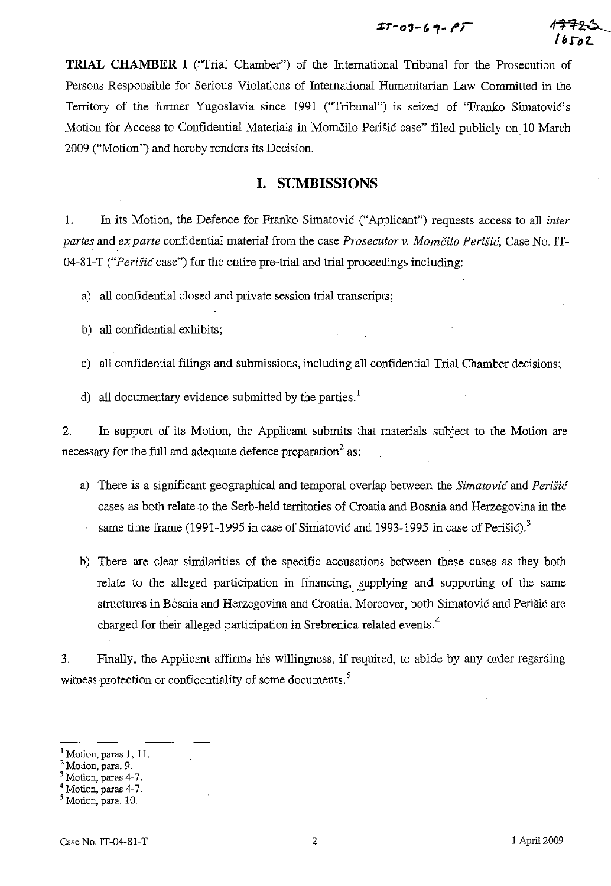**TRIAL CHAMBER I** ("Trial Chamber") of the International Tribunal for the Prosecution of Persons Responsible for Serious Violations of International Humanitarian Law Committed in the Territory of the former Yugoslavia since 1991 ("Tribunal") is seized of "Franko Simatovic's Motion for Access to Confidential Materials in Momcilo Perisic case" filed publicly on 10 March 2009 ("Motion") and hereby renders its Decision.

## **I. SUMBISSIONS**

1. In its Motion, the Defence for Franko Simatovic ("Applicant") requests access to all *inter partes* and *exparte* confidential material from the case *Prosecutor* v. *Momcilo PeriSie,* Case No. IT-04-81-T *("Perisie* case") for the entire pre-trial and trial proceedings including:

a) all confidential closed and private session trial transcripts;

b) all confidential exhibits;

c) all confidential filings and submissions, including all confidential Trial Chamber decisions;

d) all documentary evidence submitted by the parties.<sup>1</sup>

2. In support of its Motion, the Applicant submits that materials subject to the Motion are necessary for the full and adequate defence preparation<sup>2</sup> as:

- a) There is a significant geographical and temporal overlap between the *Simatovie* and *Perisie*  cases as both relate to the Serb-held territories of Croatia and Bosnia and Herzegovina in the same time frame (1991-1995 in case of Simatovic and 1993-1995 in case of Perišic).<sup>3</sup>
- b) There are clear similarities of the specific accusations between these cases as they both relate to the alleged participation in financing, supplying and supporting of the same structures in Bosnia and Herzegovina and Croatia. Moreover, both Simatović and Perišić are charged for their alleged participation in Srebrenica-related events.<sup>4</sup>

3. Finally, the Applicant affirms his willingness, if required, to abide by any order regarding witness protection or confidentiality of some documents.<sup>5</sup>

Motion, paras 1, 11.

<sup>2</sup> Motion, para. 9.

<sup>&</sup>lt;sup>3</sup> Motion, paras 4-7.

 $4$  Motion, paras  $4-7$ .

<sup>&</sup>lt;sup>5</sup> Motion, para. 10.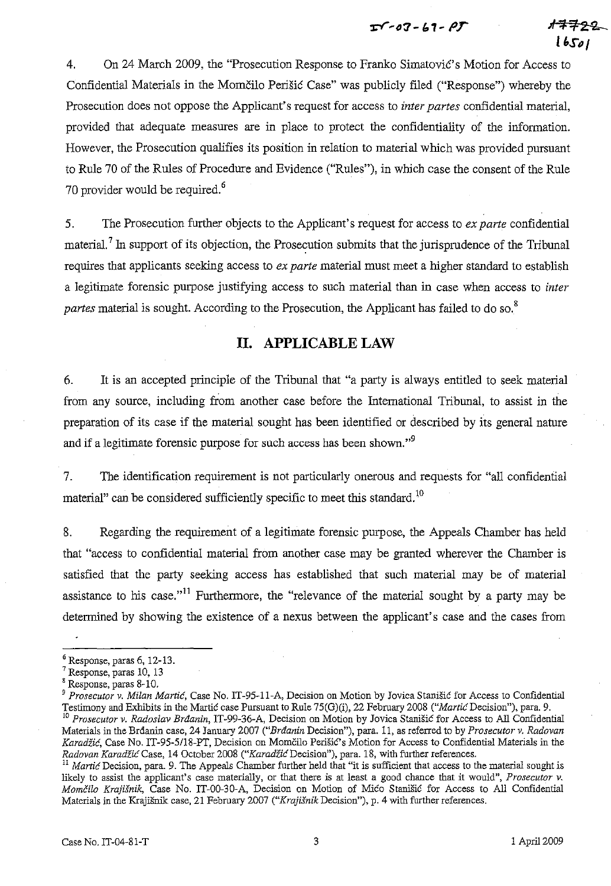$T$ -07-61- $PT$ 

 $4.7722$  . **U.S,,/** 

4. On 24 March 2009, the "Prosecution Response to Franko Simatović's Motion for Access to Confidential Materials in the Momčilo Perišić Case" was publicly filed ("Response") whereby the Prosecution does not oppose the Applicant's request for access to *inter partes* confidential material, provided that adequate measures are in place to protect the confidentiality of the information. However, the Prosecution qualifies its position in relation to material which was provided pursuant to Rule 70 of the Rules of Procedure and Evidence ("Rules"), in which case the consent of the Rule 70 provider would be required.<sup>6</sup>

5. The Prosecution further objects to the Applicant's request for access to *ex parte* confidential material.<sup>7</sup> In support of its objection, the Prosecution submits that the jurisprudence of the Tribunal requires that applicants seeking access to *ex parte* material must meet a higher standard to establish a legitimate forensic purpose justifying access to such material than in case when access to *inter partes* material is sought. According to the Prosecution, the Applicant has failed to do so.<sup>8</sup>

## **II. APPLICABLE LAW**

6. It is an accepted principle of the Tribunal that "a party is always entitled to seek material from any source, including from another case before the International Tribunal, to assist in the preparation of its case if the material sought has been identified or described by its general nature and if a legitimate forensic purpose for such access has been shown."<sup>9</sup>

7. The identification requirement is not particularly onerous and requests for "all confidential material" can be considered sufficiently specific to meet this standard.<sup>10</sup>

8. Regarding the requirement of a legitimate forensic purpose, the Appeals Chamber has held that "access to confidential material from another case may be granted wherever the Chamber is satisfied that the party seeking access has established that such material may be of material assistance to his case."<sup>11</sup> Furthermore, the "relevance of the material sought by a party may be determined by showing the existence of a nexus between the applicant's case and the cases from

 $6$  Response, paras 6, 12-13.

<sup>7</sup> Response, paras 10, 13

<sup>8</sup> Response, paras 8-10.

<sup>&</sup>lt;sup>9</sup> Prosecutor v. Milan Martić, Case No. IT-95-11-A, Decision on Motion by Jovica Stanišić for Access to Confidential Testimony and Exhibits in the Martie case Pursuant to Rule 7S(G)(i), 22 February 2008 *("Martie* Decision"), para. 9.

<sup>10</sup>*Prosecutor v. Radoslav Brdanin,* IT-99-36-A, Decision on Motion by Jovica Stanisic for Access to All Confidential Materials in the Brdanin case, 24 January 2007 *("Brdanin* Decision"), para. 11, as referred to by *Prosecutor v. Radovan Karadžić*, Case No. IT-95-5/18-PT, Decision on Momčilo Perišić's Motion for Access to Confidential Materials in the *Radovan KaradzieCase,* 14 October 2008 *("KaradzieDecision"),* para. 18, with further references.

<sup>&</sup>lt;sup>11</sup> Martic Decision, para. 9. The Appeals Chamber further held that "it is sufficient that access to the material sought is likely to assist the applicant's case materially, or that there is at least a good chance that it would", *Prosecutor* v. *MomCilo Krajisnik,* Case No. IT-00-30-A, Decision on Motion of Mico Stanisic for Access to All Confidential Materials in the Krajisnik case, 21 February 2007 *("Krajisnik* Decision"), p. 4 with further references.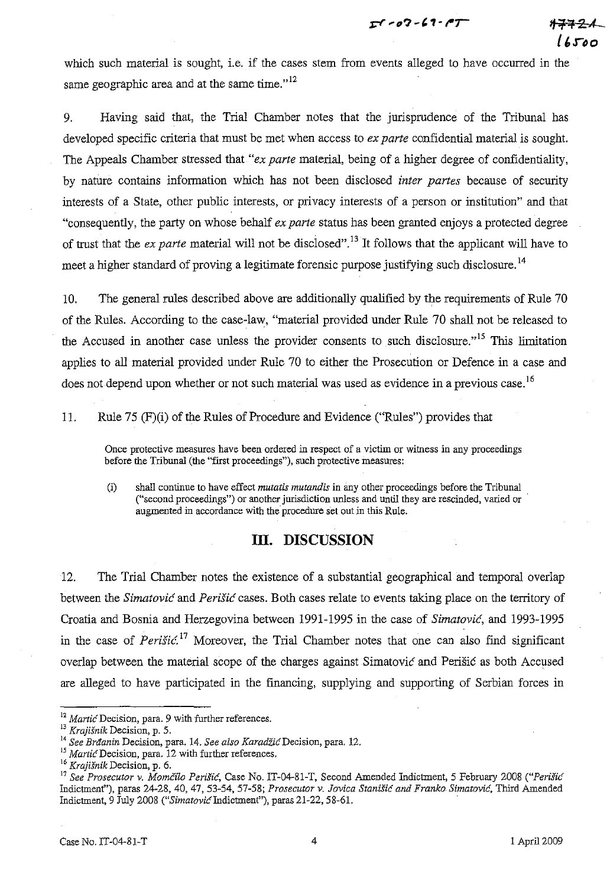IT - 07 - 61 - PT



which such material is sought, i.e. if the cases stem from events alleged to have occurred in the same geographic area and at the same time." $12$ 

9. Having said that, the Trial Chamber notes that the jurisprudence of the Tribunal has developed specific criteria that must be met when access to *ex parte* confidential material is sought. The Appeals Chamber stressed that *"ex parte* material, being of a higher degree of confidentiality, by nature contains information which has not been disclosed *inter partes* because of security interests of a State, other public interests, or privacy interests of a person or institution" and that "consequently, the party on whose behalf *ex parte* status has been granted enjoys a protected degree of trust that the *ex parte* material will not be disclosed".13 It follows that the applicant will have to meet a higher standard of proving a legitimate forensic purpose justifying such disclosure.<sup>14</sup>

10. The general rules described above are additionally qualified by the requirements of Rule 70 of the Rules. According to the case-law, "material provided under Rule 70 shall not be released to the Accused in another case unless the provider consents to such disclosure. $15$  This limitation applies to all material provided under Rule 70 to either the Prosecution or Defence in a case and does not depend upon whether or not such material was used as evidence in a previous case.<sup>16</sup>

II. Rule 75 (F) (i) of the Rules of Procedure and Evidence ("Rules") provides that

**Once protective measures have been ordered in respect of a victim or witness in any proceedings**  before the Tribunal (the "first proceedings"), such protective measures:

(i) shall continue to have effect *mutatis mutandis* in any other proceedings before the Tribunal ("second proceedings") or another jurisdiction unless and until they are rescinded, varied or augmented in accordance with the procedure set out in this Rule.

## **Ill. DISCUSSION**

12. The Trial Chamber notes the existence of a substantial geographical and temporal overlap between the *Simatovic* and *Perisic* cases. Both cases relate to events taking place on the territory of Croatia and Bosnia and Herzegovina between 1991-1995 in the case of *Simatovic,* and 1993-1995 in the case of *Perisic*.<sup>17</sup> Moreover, the Trial Chamber notes that one can also find significant overlap between the material scope of the charges against Simatovic and Perisic as both Accused are alleged to have participated in the financing, supplying and supporting of Serbian forces in

<sup>&</sup>lt;sup>12</sup> Martic Decision, para. 9 with further references.

*<sup>13</sup> Krajisnik* **Decision, p. 5.** 

<sup>&</sup>lt;sup>14</sup> See Braanin Decision, para. 14. *See also Karadžić* Decision, para. 12.

<sup>&</sup>lt;sup>15</sup> Martic Decision, para. 12 with further references.

**<sup>16</sup> Krajisnik Decision, p. 6.** 

<sup>&</sup>lt;sup>17</sup> See Prosecutor v. Momčilo Perišić, Case No. IT-04-81-T, Second Amended Indictment, 5 February 2008 ("Perišić Indictment"), paras 24-28, 40, 47, 53-54, 57-58; Prosecutor v. Jovica Stanišić and Franko Simatović, Third Amended Indictment, 9 July 2008 *("SimatovicIndictment"),* paras 21-22, 58-61.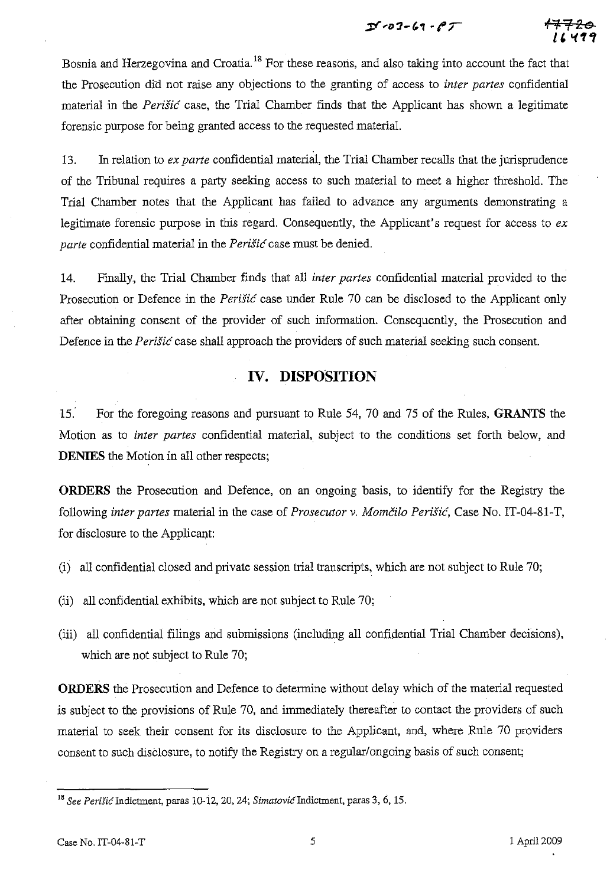$25 - 07 - 69 - 67$ 

<del>17720</del> **H "(1,** 



13. In relation to *ex parte* confidential material, the Trial Chamber recalls that the jurisprudence of the Tribunal requires a party seeking access to such material to meet a higher threshold. The Trial Chamber notes that the Applicant has failed to advance any arguments demonstrating a legitimate forensic purpose in this regard. Consequently, the Applicant's request for access to *ex parte* confidential material in the *Perish:* case must be denied.

14. Finally, the Trial Chamber finds that all *inter partes* confidential material provided to the Prosecution or Defence in the *Perisic* case under Rule 70 can be disclosed to the Applicant only after obtaining consent of the provider of such information. Consequently, the Prosecution and Defence in the *Perisic* case shall approach the providers of such material seeking such consent.

## **IV. DISPOSITION**

15: For the foregoing reasons and pursuant to Rule 54, 70 and 75 of the Ru1es, **GRANTS** the Motion as to *inter partes* confidential material, subject to the conditions set forth below, and **DENIES** the Motion in all other respects;

**ORDERS** the Prosecution and Defence, on an ongoing basis, to identify for the Registry the following *inter partes* material in the case of *Prosecutor* v. *Momcilo Perisic,* Case No. IT-04-81-T, for disclosure to the Applicant:

- (i) all confidential closed and private session trial transcripts, which are not subject to Rule 70;
- (ii) all confidential exhibits, which are not subject to Rule 70;
- (iii) all confidential filings and submissions (including all confidential Trial Chamber decisions), which are not subject to Rule 70;

**ORDERS** the Prosecution and Defence to determine without delay which of the material requested is subject to the provisions of Rule 70, and immediately thereafter to contact the providers of such material to seek their consent for its disclosure to the Applicant, and, where Rule 70 providers consent to such disclosure, to notify the Registry on a regular/ongoing basis of such consent;

<sup>&</sup>lt;sup>18</sup> See Perišić Indictment, paras 10-12, 20, 24; *Simatović* Indictment, paras 3, 6, 15.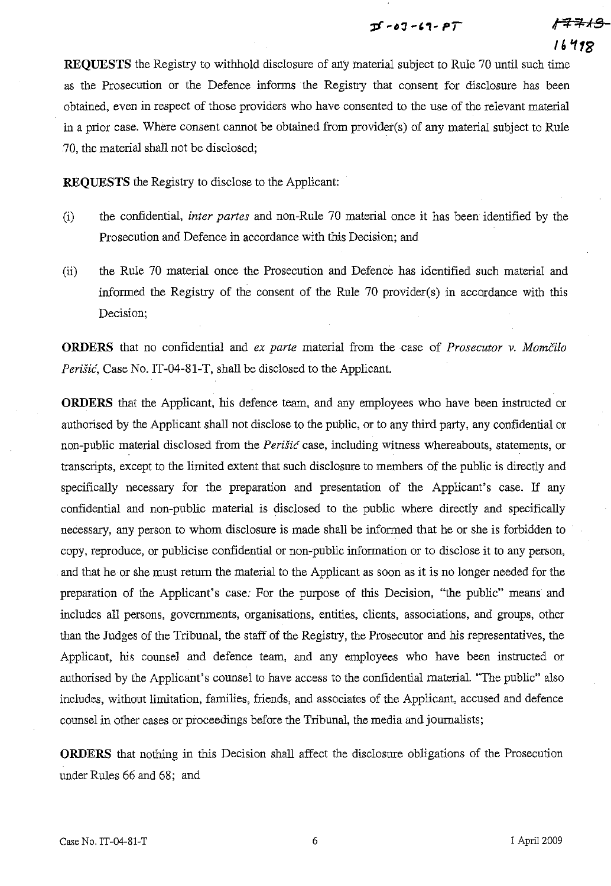## $D - 03 - 69 - PT$

16798

*,f* 7f; ;r..;( **§** 

**REQUESTS** the Registry to withhold disclosure of any material subject to Rule 70 until such time as the Prosecution or the Defence informs the Registry that consent for disclosure has been obtained, even in respect of those providers who have consented to the use of the relevant material in a prior case. Where consent cannot be obtained from provider(s) of any material subject to Rule 70, the material shall not be disclosed;

**REQUESTS** the Registry to disclose to the Applicant:

- (i) the confidential, *inter partes* and non-Rule 70 material once it has been identified by the Prosecution and Defence in accordance with this Decision; and
- (ii) the Rule 70 material once the Prosecution and Defence has identified such material and informed the Registry of the consent of the Rule 70 provider(s) in accordance with this Decision;

**ORDERS** that no confidential and *ex parte* material from the case of *Prosecutor v. Momcilo Perišić*, Case No. IT-04-81-T, shall be disclosed to the Applicant.

**ORDERS** that the Applicant, his defence team, and any employees who have been instructed or authorised by the Applicant shall not disclose to the public, or to any third party, any confidential or non-public material disclosed from the *Perisic* case, including wimess whereabouts, statements, or transcripts, except to the limited extent that such disclosure to members of the public is directly and specifically necessary for the preparation and presentation of the Applicant's case. If any confidential and non-public material is disclosed to the public where directly and specifically necessary, any person to whom disclosure is made shall be informed that he or she is forbidden to copy, reproduce, or publicise confidential or non-public information or to disclose it to any person, and that he or she must return the material to the Applicant as soon as it is no longer needed for the preparation of the Applicant's case: For the purpose of this Decision, "the public" means and includes all persons, governments, organisations, entities, clients, associations, and groups, other than the Judges of the Tribunal, the staff of the Registry, the Prosecutor and his representatives, the Applicant, his counsel and defence team, and any employees who have been instructed or authorised by the Applicant's counsel to have access to the confidential material. "The public" also includes, without limitation, families, friends, and associates of the Applicant, accused and defence counsel in other cases or proceedings before the Tribunal, the media and journalists;

**ORDERS** that nothing in this Decision shall affect the disclosure obligations of the Prosecution under Rules 66 and 68; and